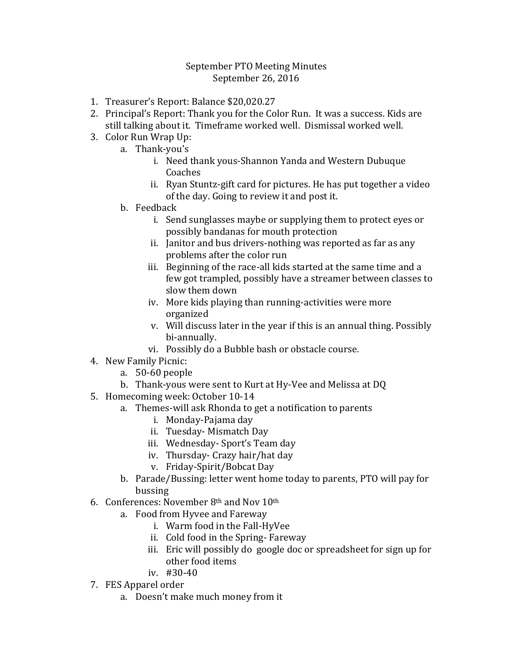## September PTO Meeting Minutes September 26, 2016

- 1. Treasurer's Report: Balance \$20,020.27
- 2. Principal's Report: Thank you for the Color Run. It was a success. Kids are still talking about it. Timeframe worked well. Dismissal worked well.
- 3. Color Run Wrap Up:
	- a. Thank-you's
		- i. Need thank yous-Shannon Yanda and Western Dubuque Coaches
		- ii. Ryan Stuntz-gift card for pictures. He has put together a video of the day. Going to review it and post it.
	- b. Feedback
		- i. Send sunglasses maybe or supplying them to protect eyes or possibly bandanas for mouth protection
		- ii. Janitor and bus drivers-nothing was reported as far as any problems after the color run
		- iii. Beginning of the race-all kids started at the same time and a few got trampled, possibly have a streamer between classes to slow them down
		- iv. More kids playing than running-activities were more organized
		- v. Will discuss later in the year if this is an annual thing. Possibly bi-annually.
		- vi. Possibly do a Bubble bash or obstacle course.
- 4. New Family Picnic:
	- a. 50-60 people
	- b. Thank-yous were sent to Kurt at Hy-Vee and Melissa at DQ
- 5. Homecoming week: October 10-14
	- a. Themes-will ask Rhonda to get a notification to parents
		- i. Monday-Pajama day
		- ii. Tuesday- Mismatch Day
		- iii. Wednesday- Sport's Team day
		- iv. Thursday- Crazy hair/hat day
		- v. Friday-Spirit/Bobcat Day
	- b. Parade/Bussing: letter went home today to parents, PTO will pay for bussing
- 6. Conferences: November  $8<sup>th</sup>$  and Nov  $10<sup>th</sup>$ 
	- a. Food from Hyvee and Fareway
		- i. Warm food in the Fall-HyVee
		- ii. Cold food in the Spring- Fareway
		- iii. Eric will possibly do google doc or spreadsheet for sign up for other food items
		- iv. #30-40
- 7. FES Apparel order
	- a. Doesn't make much money from it